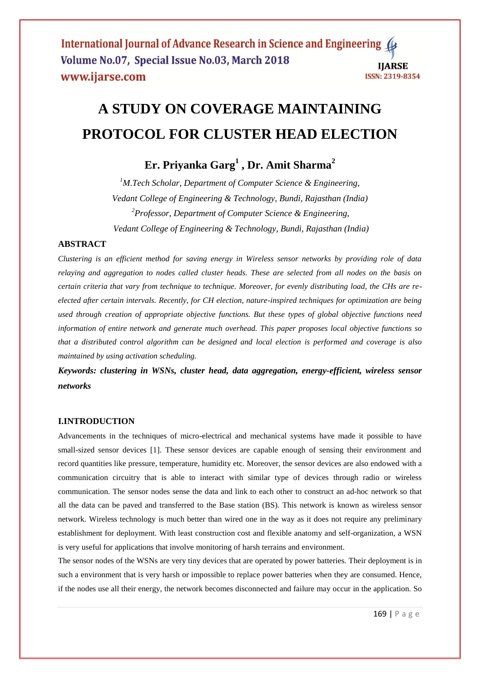# **A STUDY ON COVERAGE MAINTAINING PROTOCOL FOR CLUSTER HEAD ELECTION**

# **Er. Priyanka Garg<sup>1</sup> , Dr. Amit Sharma<sup>2</sup>**

*<sup>1</sup>M.Tech Scholar, Department of Computer Science & Engineering, Vedant College of Engineering & Technology, Bundi, Rajasthan (India) <sup>2</sup>Professor, Department of Computer Science & Engineering, Vedant College of Engineering & Technology, Bundi, Rajasthan (India)*

# **ABSTRACT**

*Clustering is an efficient method for saving energy in Wireless sensor networks by providing role of data relaying and aggregation to nodes called cluster heads. These are selected from all nodes on the basis on certain criteria that vary from technique to technique. Moreover, for evenly distributing load, the CHs are reelected after certain intervals. Recently, for CH election, nature-inspired techniques for optimization are being used through creation of appropriate objective functions. But these types of global objective functions need information of entire network and generate much overhead. This paper proposes local objective functions so that a distributed control algorithm can be designed and local election is performed and coverage is also maintained by using activation scheduling.*

*Keywords: clustering in WSNs, cluster head, data aggregation, energy-efficient, wireless sensor networks*

# **I.INTRODUCTION**

Advancements in the techniques of micro-electrical and mechanical systems have made it possible to have small-sized sensor devices [1]. These sensor devices are capable enough of sensing their environment and record quantities like pressure, temperature, humidity etc. Moreover, the sensor devices are also endowed with a communication circuitry that is able to interact with similar type of devices through radio or wireless communication. The sensor nodes sense the data and link to each other to construct an ad-hoc network so that all the data can be paved and transferred to the Base station (BS). This network is known as wireless sensor network. Wireless technology is much better than wired one in the way as it does not require any preliminary establishment for deployment. With least construction cost and flexible anatomy and self-organization, a WSN is very useful for applications that involve monitoring of harsh terrains and environment.

The sensor nodes of the WSNs are very tiny devices that are operated by power batteries. Their deployment is in such a environment that is very harsh or impossible to replace power batteries when they are consumed. Hence, if the nodes use all their energy, the network becomes disconnected and failure may occur in the application. So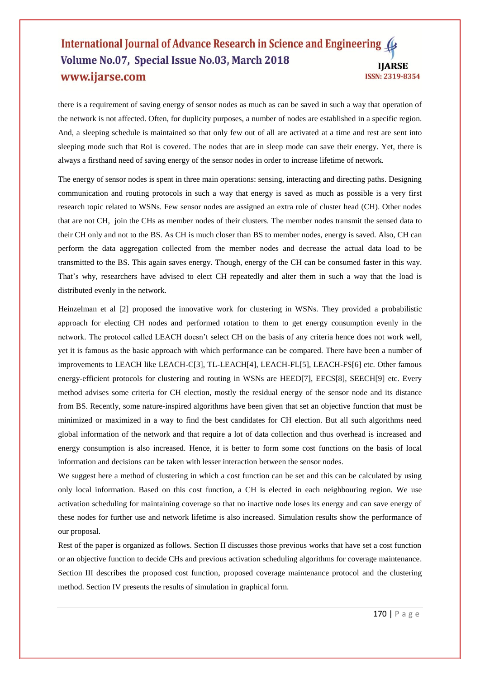#### International Journal of Advance Research in Science and Engineering Volume No.07, Special Issue No.03, March 2018 **IIARSE** www.ijarse.com ISSN: 2319-8354

there is a requirement of saving energy of sensor nodes as much as can be saved in such a way that operation of the network is not affected. Often, for duplicity purposes, a number of nodes are established in a specific region. And, a sleeping schedule is maintained so that only few out of all are activated at a time and rest are sent into sleeping mode such that RoI is covered. The nodes that are in sleep mode can save their energy. Yet, there is always a firsthand need of saving energy of the sensor nodes in order to increase lifetime of network.

The energy of sensor nodes is spent in three main operations: sensing, interacting and directing paths. Designing communication and routing protocols in such a way that energy is saved as much as possible is a very first research topic related to WSNs. Few sensor nodes are assigned an extra role of cluster head (CH). Other nodes that are not CH, join the CHs as member nodes of their clusters. The member nodes transmit the sensed data to their CH only and not to the BS. As CH is much closer than BS to member nodes, energy is saved. Also, CH can perform the data aggregation collected from the member nodes and decrease the actual data load to be transmitted to the BS. This again saves energy. Though, energy of the CH can be consumed faster in this way. That's why, researchers have advised to elect CH repeatedly and alter them in such a way that the load is distributed evenly in the network.

Heinzelman et al [2] proposed the innovative work for clustering in WSNs. They provided a probabilistic approach for electing CH nodes and performed rotation to them to get energy consumption evenly in the network. The protocol called LEACH doesn't select CH on the basis of any criteria hence does not work well, yet it is famous as the basic approach with which performance can be compared. There have been a number of improvements to LEACH like LEACH-C[3], TL-LEACH[4], LEACH-FL[5], LEACH-FS[6] etc. Other famous energy-efficient protocols for clustering and routing in WSNs are HEED[7], EECS[8], SEECH[9] etc. Every method advises some criteria for CH election, mostly the residual energy of the sensor node and its distance from BS. Recently, some nature-inspired algorithms have been given that set an objective function that must be minimized or maximized in a way to find the best candidates for CH election. But all such algorithms need global information of the network and that require a lot of data collection and thus overhead is increased and energy consumption is also increased. Hence, it is better to form some cost functions on the basis of local information and decisions can be taken with lesser interaction between the sensor nodes.

We suggest here a method of clustering in which a cost function can be set and this can be calculated by using only local information. Based on this cost function, a CH is elected in each neighbouring region. We use activation scheduling for maintaining coverage so that no inactive node loses its energy and can save energy of these nodes for further use and network lifetime is also increased. Simulation results show the performance of our proposal.

Rest of the paper is organized as follows. Section II discusses those previous works that have set a cost function or an objective function to decide CHs and previous activation scheduling algorithms for coverage maintenance. Section III describes the proposed cost function, proposed coverage maintenance protocol and the clustering method. Section IV presents the results of simulation in graphical form.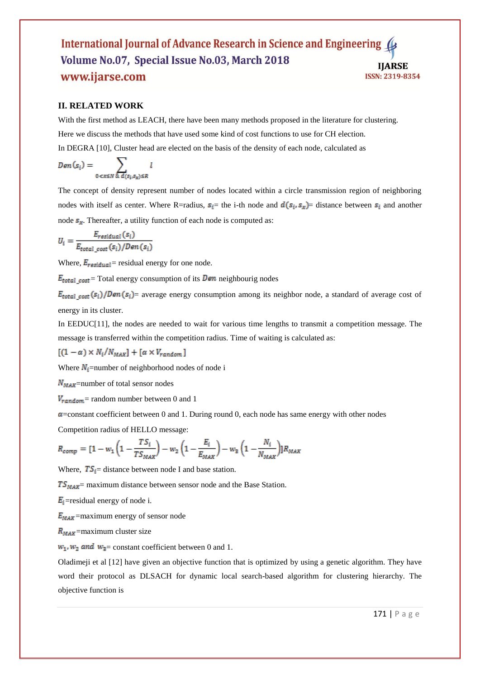#### International Journal of Advance Research in Science and Engineering Volume No.07, Special Issue No.03, March 2018 **HARSE** www.ijarse.com ISSN: 2319-8354

#### **II. RELATED WORK**

With the first method as LEACH, there have been many methods proposed in the literature for clustering. Here we discuss the methods that have used some kind of cost functions to use for CH election. In DEGRA [10], Cluster head are elected on the basis of the density of each node, calculated as

$$
Den(s_i) = \sum_{0 < x \leq N} \sum_{\& d(s_i, s_x) \leq R} l
$$

The concept of density represent number of nodes located within a circle transmission region of neighboring nodes with itself as center. Where R=radius,  $s_i$  the i-th node and  $d(s_i, s_x)$  distance between  $s_i$  and another node  $s_x$ . Thereafter, a utility function of each node is computed as:

$$
U_i = \frac{E_{residual}(s_i)}{E_{total\_cost}(s_i)/Den(s_i)}
$$

Where,  $E_{residual}$  = residual energy for one node.

 $E_{total\ cost}$  = Total energy consumption of its **Den** neighbourig nodes

 $E_{total\ cost}(s_i)/Den(s_i)$  average energy consumption among its neighbor node, a standard of average cost of energy in its cluster.

In EEDUC[11], the nodes are needed to wait for various time lengths to transmit a competition message. The message is transferred within the competition radius. Time of waiting is calculated as:

$$
[(1-\alpha) \times N_i/N_{MAX}] + [\alpha \times V_{random}]
$$

Where  $N_i$ =number of neighborhood nodes of node i

 $N_{MAX}$ =number of total sensor nodes

 $V_{random}$  = random number between 0 and 1

 $\alpha$ =constant coefficient between 0 and 1. During round 0, each node has same energy with other nodes

Competition radius of HELLO message:

$$
R_{comp} = [1 - w_1 \left(1 - \frac{T S_i}{T S_{MAX}}\right) - w_2 \left(1 - \frac{E_i}{E_{MAX}}\right) - w_3 \left(1 - \frac{N_i}{N_{MAX}}\right)] R_{MAX}
$$

Where,  $TS_i$  distance between node I and base station.

 $TS_{MAX}$  maximum distance between sensor node and the Base Station.

 $E_i$ =residual energy of node i.

 $E_{MAX}$ =maximum energy of sensor node

 $R_{MAX}$ =maximum cluster size

 $w_1$ ,  $w_2$  and  $w_3$  = constant coefficient between 0 and 1.

Oladimeji et al [12] have given an objective function that is optimized by using a genetic algorithm. They have word their protocol as DLSACH for dynamic local search-based algorithm for clustering hierarchy. The objective function is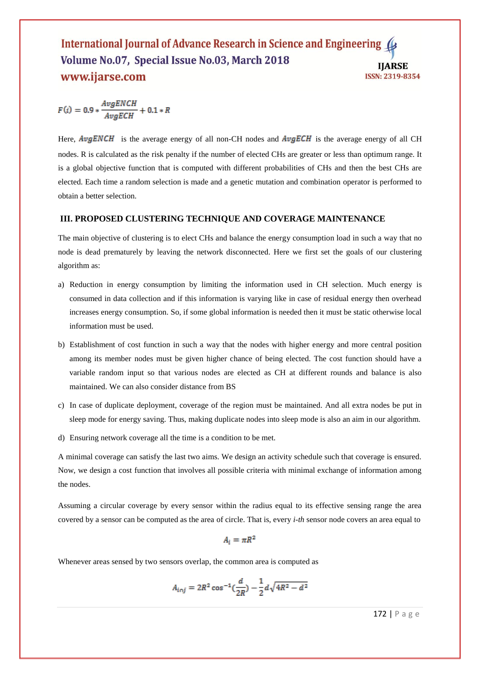#### International Journal of Advance Research in Science and Engineering ( Volume No.07, Special Issue No.03, March 2018 **IIARSE** www.ijarse.com **ISSN: 2319-8354**

 $F(i) = 0.9 * \frac{AvgENCH}{AvgECH} + 0.1 * R$ 

Here,  $AvgENCH$  is the average energy of all non-CH nodes and  $AvgECH$  is the average energy of all CH nodes. R is calculated as the risk penalty if the number of elected CHs are greater or less than optimum range. It is a global objective function that is computed with different probabilities of CHs and then the best CHs are elected. Each time a random selection is made and a genetic mutation and combination operator is performed to obtain a better selection.

#### **III. PROPOSED CLUSTERING TECHNIQUE AND COVERAGE MAINTENANCE**

The main objective of clustering is to elect CHs and balance the energy consumption load in such a way that no node is dead prematurely by leaving the network disconnected. Here we first set the goals of our clustering algorithm as:

- a) Reduction in energy consumption by limiting the information used in CH selection. Much energy is consumed in data collection and if this information is varying like in case of residual energy then overhead increases energy consumption. So, if some global information is needed then it must be static otherwise local information must be used.
- b) Establishment of cost function in such a way that the nodes with higher energy and more central position among its member nodes must be given higher chance of being elected. The cost function should have a variable random input so that various nodes are elected as CH at different rounds and balance is also maintained. We can also consider distance from BS
- c) In case of duplicate deployment, coverage of the region must be maintained. And all extra nodes be put in sleep mode for energy saving. Thus, making duplicate nodes into sleep mode is also an aim in our algorithm.
- d) Ensuring network coverage all the time is a condition to be met.

A minimal coverage can satisfy the last two aims. We design an activity schedule such that coverage is ensured. Now, we design a cost function that involves all possible criteria with minimal exchange of information among the nodes.

Assuming a circular coverage by every sensor within the radius equal to its effective sensing range the area covered by a sensor can be computed as the area of circle. That is, every *i-th* sensor node covers an area equal to

$$
A_i = \pi R^2
$$

Whenever areas sensed by two sensors overlap, the common area is computed as

$$
A_{i\cap j} = 2R^2 \cos^{-1}(\frac{d}{2R}) - \frac{1}{2}d\sqrt{4R^2 - d^2}
$$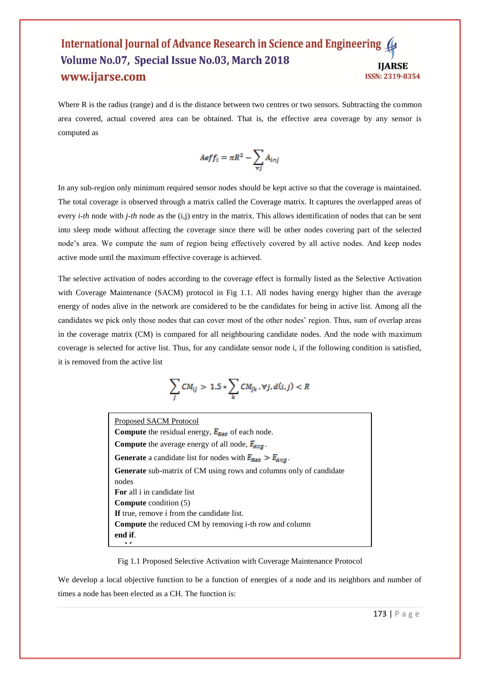#### International Journal of Advance Research in Science and Engineering Volume No.07, Special Issue No.03, March 2018 **IIARSE** www.ijarse.com ISSN: 2319-8354

Where R is the radius (range) and d is the distance between two centres or two sensors. Subtracting the common area covered, actual covered area can be obtained. That is, the effective area coverage by any sensor is computed as

$$
A\text{eff}_i = \pi R^2 - \sum_{\forall j} A_{i\cap j}
$$

In any sub-region only minimum required sensor nodes should be kept active so that the coverage is maintained. The total coverage is observed through a matrix called the Coverage matrix. It captures the overlapped areas of every *i-th* node with *j-th* node as the (i,j) entry in the matrix. This allows identification of nodes that can be sent into sleep mode without affecting the coverage since there will be other nodes covering part of the selected node's area. We compute the sum of region being effectively covered by all active nodes. And keep nodes active mode until the maximum effective coverage is achieved.

The selective activation of nodes according to the coverage effect is formally listed as the Selective Activation with Coverage Maintenance (SACM) protocol in Fig 1.1. All nodes having energy higher than the average energy of nodes alive in the network are considered to be the candidates for being in active list. Among all the candidates we pick only those nodes that can cover most of the other nodes' region. Thus, sum of overlap areas in the coverage matrix (CM) is compared for all neighbouring candidate nodes. And the node with maximum coverage is selected for active list. Thus, for any candidate sensor node i, if the following condition is satisfied, it is removed from the active list

$$
\sum_j CM_{ij} > 1.5 * \sum_k CM_{jk}, \forall j, d(i, j) < R
$$

Proposed SACM Protocol **Compute** the residual energy,  $E_{Res}$  of each node. **Compute** the average energy of all node,  $E_{Avg}$ . **Generate** a candidate list for nodes with  $E_{\text{Res}} > E_{\text{Avg}}$ . **Generate** sub-matrix of CM using rows and columns only of candidate nodes **For** all i in candidate list **Compute** condition (5) **If** true, remove i from the candidate list. **Compute** the reduced CM by removing i-th row and column **end if**. **e** 

Fig 1.1 Proposed Selective Activation with Coverage Maintenance Protocol

We develop a local objective function to be a function of energies of a node and its neighbors and number of times a node has been elected as a CH. The function is: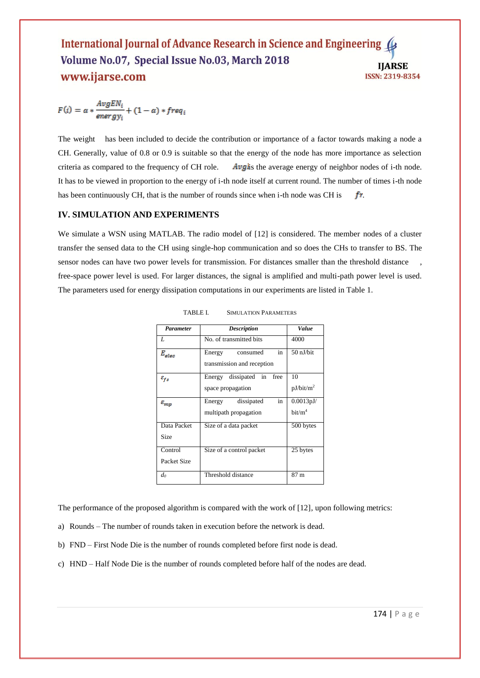#### International Journal of Advance Research in Science and Engineering Volume No.07, Special Issue No.03, March 2018 **IJARSE** www.ijarse.com ISSN: 2319-8354

$$
F(i) = \alpha * \frac{AvgEN_i}{energy_i} + (1 - \alpha) * freq_i
$$

The weight has been included to decide the contribution or importance of a factor towards making a node a CH. Generally, value of 0.8 or 0.9 is suitable so that the energy of the node has more importance as selection criteria as compared to the frequency of CH role.  $\Delta v g$  is the average energy of neighbor nodes of i-th node. It has to be viewed in proportion to the energy of i-th node itself at current round. The number of times i-th node has been continuously CH, that is the number of rounds since when i-th node was CH is  $\mathbf{r}$ .

#### **IV. SIMULATION AND EXPERIMENTS**

We simulate a WSN using MATLAB. The radio model of [12] is considered. The member nodes of a cluster transfer the sensed data to the CH using single-hop communication and so does the CHs to transfer to BS. The sensor nodes can have two power levels for transmission. For distances smaller than the threshold distance free-space power level is used. For larger distances, the signal is amplified and multi-path power level is used. The parameters used for energy dissipation computations in our experiments are listed in Table 1.

| <b>Parameter</b>       | <b>Description</b>                                     | Value                            |
|------------------------|--------------------------------------------------------|----------------------------------|
| L                      | No. of transmitted bits                                | 4000                             |
| $E_{\it elec}$         | in<br>Energy<br>consumed<br>transmission and reception | $50$ nJ/bit                      |
| $\varepsilon_{fs}$     | dissipated in<br>free<br>Energy<br>space propagation   | 10<br>pJ/bit/m <sup>2</sup>      |
| $\varepsilon_{mp}$     | in<br>dissipated<br>Energy<br>multipath propagation    | 0.0013 pJ/<br>bit/m <sup>4</sup> |
| Data Packet<br>Size    | Size of a data packet                                  | 500 bytes                        |
| Control<br>Packet Size | Size of a control packet                               | 25 bytes                         |
| $d_0$                  | Threshold distance                                     | 87 m                             |

TABLE I. SIMULATION PARAMETERS

The performance of the proposed algorithm is compared with the work of [12], upon following metrics:

- a) Rounds The number of rounds taken in execution before the network is dead.
- b) FND First Node Die is the number of rounds completed before first node is dead.
- c) HND Half Node Die is the number of rounds completed before half of the nodes are dead.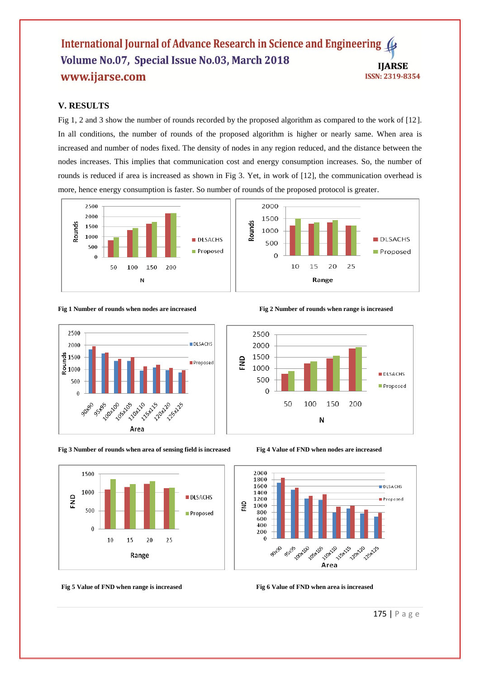#### International Journal of Advance Research in Science and Engineering Volume No.07, Special Issue No.03, March 2018 **IJARSE** www.ijarse.com **ISSN: 2319-8354**

# **V. RESULTS**

Fig 1, 2 and 3 show the number of rounds recorded by the proposed algorithm as compared to the work of [12]. In all conditions, the number of rounds of the proposed algorithm is higher or nearly same. When area is increased and number of nodes fixed. The density of nodes in any region reduced, and the distance between the nodes increases. This implies that communication cost and energy consumption increases. So, the number of rounds is reduced if area is increased as shown in Fig 3. Yet, in work of [12], the communication overhead is more, hence energy consumption is faster. So number of rounds of the proposed protocol is greater.



#### **Fig 1 Number of rounds when nodes are increased Fig 2 Number of rounds when range is increased**



**Fig 3 Number of rounds when area of sensing field is increased Fig 4 Value of FND when nodes are increased**



**Fig 5** Value of FND when range is increased Fig 6 Value of FND when area is increased







175 | P a g e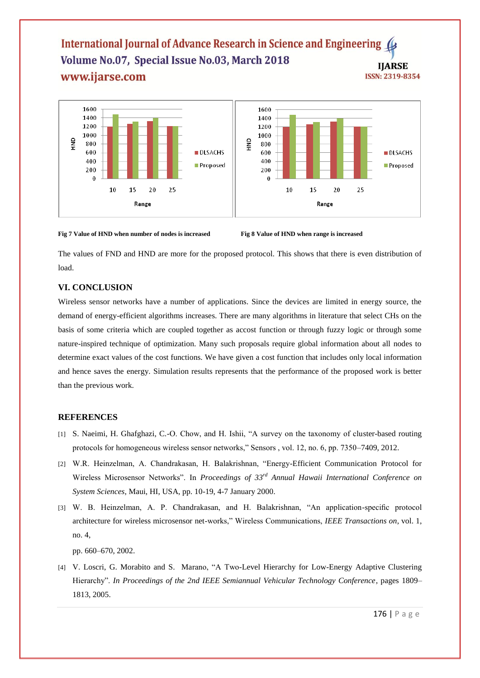#### International Journal of Advance Research in Science and Engineering ( Volume No.07, Special Issue No.03, March 2018 **IJARSE** www.ijarse.com **ISSN: 2319-8354**



**Fig 7 Value of HND when number of nodes is increased Fig 8 Value of HND when range is increased**

The values of FND and HND are more for the proposed protocol. This shows that there is even distribution of load.

# **VI. CONCLUSION**

Wireless sensor networks have a number of applications. Since the devices are limited in energy source, the demand of energy-efficient algorithms increases. There are many algorithms in literature that select CHs on the basis of some criteria which are coupled together as accost function or through fuzzy logic or through some nature-inspired technique of optimization. Many such proposals require global information about all nodes to determine exact values of the cost functions. We have given a cost function that includes only local information and hence saves the energy. Simulation results represents that the performance of the proposed work is better than the previous work.

#### **REFERENCES**

- [1] S. Naeimi, H. Ghafghazi, C.-O. Chow, and H. Ishii, "A survey on the taxonomy of cluster-based routing protocols for homogeneous wireless sensor networks," Sensors , vol. 12, no. 6, pp. 7350–7409, 2012.
- [2] W.R. Heinzelman, A. Chandrakasan, H. Balakrishnan, "Energy-Efficient Communication Protocol for Wireless Microsensor Networks". In *Proceedings of 33rd Annual Hawaii International Conference on System Sciences*, Maui, HI, USA, pp. 10-19, 4-7 January 2000.
- [3] W. B. Heinzelman, A. P. Chandrakasan, and H. Balakrishnan, "An application-specific protocol architecture for wireless microsensor net-works," Wireless Communications, *IEEE Transactions on*, vol. 1, no. 4,

pp. 660–670, 2002.

[4] V. Loscri, G. Morabito and S. Marano, "A Two-Level Hierarchy for Low-Energy Adaptive Clustering Hierarchy". *In Proceedings of the 2nd IEEE Semiannual Vehicular Technology Conference*, pages 1809– 1813, 2005.